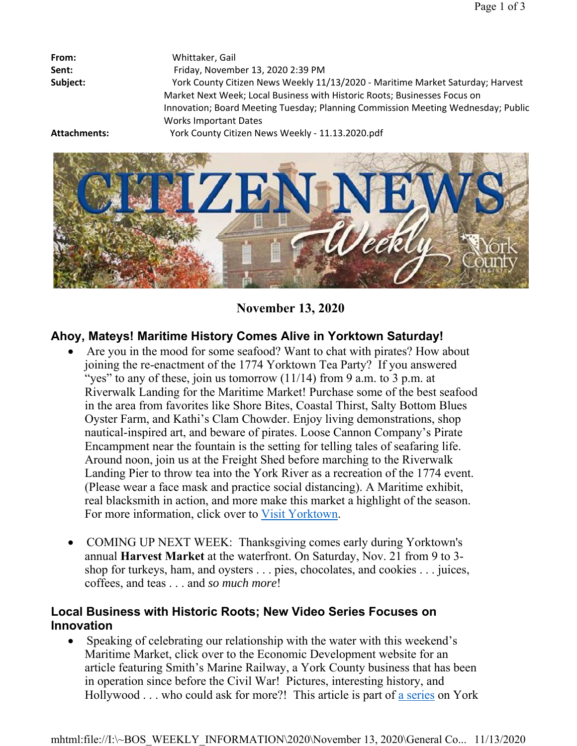| From:        | Whittaker, Gail                                                                  |
|--------------|----------------------------------------------------------------------------------|
| Sent:        | Friday, November 13, 2020 2:39 PM                                                |
| Subject:     | York County Citizen News Weekly 11/13/2020 - Maritime Market Saturday; Harvest   |
|              | Market Next Week; Local Business with Historic Roots; Businesses Focus on        |
|              | Innovation; Board Meeting Tuesday; Planning Commission Meeting Wednesday; Public |
|              | <b>Works Important Dates</b>                                                     |
| Attachments: | York County Citizen News Weekly - 11.13.2020.pdf                                 |



**November 13, 2020**

# **Ahoy, Mateys! Maritime History Comes Alive in Yorktown Saturday!**

- Are you in the mood for some seafood? Want to chat with pirates? How about joining the re-enactment of the 1774 Yorktown Tea Party? If you answered "yes" to any of these, join us tomorrow  $(11/14)$  from 9 a.m. to 3 p.m. at Riverwalk Landing for the Maritime Market! Purchase some of the best seafood in the area from favorites like Shore Bites, Coastal Thirst, Salty Bottom Blues Oyster Farm, and Kathi's Clam Chowder. Enjoy living demonstrations, shop nautical-inspired art, and beware of pirates. Loose Cannon Company's Pirate Encampment near the fountain is the setting for telling tales of seafaring life. Around noon, join us at the Freight Shed before marching to the Riverwalk Landing Pier to throw tea into the York River as a recreation of the 1774 event. (Please wear a face mask and practice social distancing). A Maritime exhibit, real blacksmith in action, and more make this market a highlight of the season. For more information, click over to Visit Yorktown.
- COMING UP NEXT WEEK: Thanksgiving comes early during Yorktown's annual **Harvest Market** at the waterfront. On Saturday, Nov. 21 from 9 to 3 shop for turkeys, ham, and oysters . . . pies, chocolates, and cookies . . . juices, coffees, and teas . . . and *so much more*!

## **Local Business with Historic Roots; New Video Series Focuses on Innovation**

 Speaking of celebrating our relationship with the water with this weekend's Maritime Market, click over to the Economic Development website for an article featuring Smith's Marine Railway, a York County business that has been in operation since before the Civil War! Pictures, interesting history, and Hollywood . . . who could ask for more?! This article is part of a series on York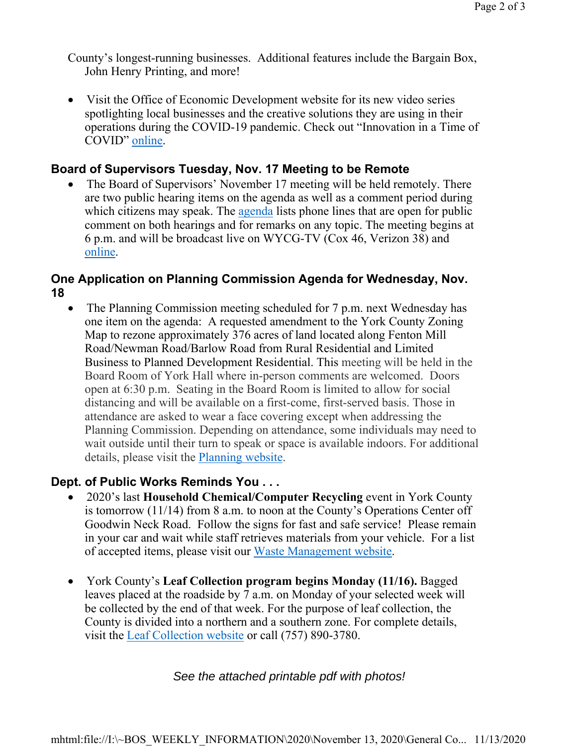County's longest-running businesses. Additional features include the Bargain Box, John Henry Printing, and more!

 Visit the Office of Economic Development website for its new video series spotlighting local businesses and the creative solutions they are using in their operations during the COVID-19 pandemic. Check out "Innovation in a Time of COVID" online.

#### **Board of Supervisors Tuesday, Nov. 17 Meeting to be Remote**

• The Board of Supervisors' November 17 meeting will be held remotely. There are two public hearing items on the agenda as well as a comment period during which citizens may speak. The agenda lists phone lines that are open for public comment on both hearings and for remarks on any topic. The meeting begins at 6 p.m. and will be broadcast live on WYCG-TV (Cox 46, Verizon 38) and online.

### **One Application on Planning Commission Agenda for Wednesday, Nov. 18**

• The Planning Commission meeting scheduled for 7 p.m. next Wednesday has one item on the agenda: A requested amendment to the York County Zoning Map to rezone approximately 376 acres of land located along Fenton Mill Road/Newman Road/Barlow Road from Rural Residential and Limited Business to Planned Development Residential. This meeting will be held in the Board Room of York Hall where in-person comments are welcomed. Doors open at 6:30 p.m. Seating in the Board Room is limited to allow for social distancing and will be available on a first-come, first-served basis. Those in attendance are asked to wear a face covering except when addressing the Planning Commission. Depending on attendance, some individuals may need to wait outside until their turn to speak or space is available indoors. For additional details, please visit the Planning website.

### **Dept. of Public Works Reminds You . . .**

- 2020's last **Household Chemical/Computer Recycling** event in York County is tomorrow (11/14) from 8 a.m. to noon at the County's Operations Center off Goodwin Neck Road. Follow the signs for fast and safe service! Please remain in your car and wait while staff retrieves materials from your vehicle. For a list of accepted items, please visit our Waste Management website.
- York County's **Leaf Collection program begins Monday (11/16).** Bagged leaves placed at the roadside by 7 a.m. on Monday of your selected week will be collected by the end of that week. For the purpose of leaf collection, the County is divided into a northern and a southern zone. For complete details, visit the Leaf Collection website or call (757) 890-3780.

#### *See the attached printable pdf with photos!*